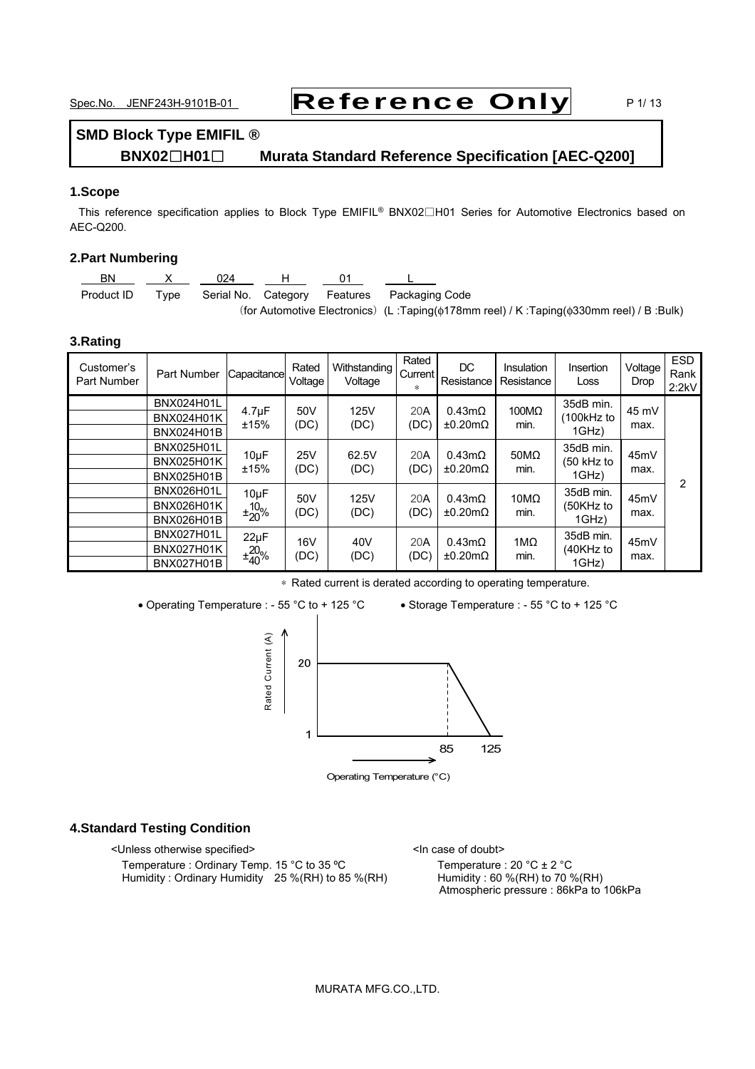# Spec.No. JENF243H-9101B-01 **Reference Only** P1/13

## **SMD Block Type EMIFIL ® BNX02**□**H01**□ **Murata Standard Reference Specification [AEC-Q200]**

### **1.Scope**

This reference specification applies to Block Type EMIFIL® BNX02□H01 Series for Automotive Electronics based on AEC-Q200.

### **2.Part Numbering**

| BN         |      | 024 |  |                                                                                                     |
|------------|------|-----|--|-----------------------------------------------------------------------------------------------------|
| Product ID | Tvpe |     |  | Serial No. Category Features Packaging Code                                                         |
|            |      |     |  | (for Automotive Electronics) (L:Taping( $\phi$ 178mm reel) / K:Taping( $\phi$ 330mm reel) / B:Bulk) |

### **3.Rating**

| Customer's<br>Part Number | Part Number                                                 | Capacitance                       | Rated<br>Voltage   | Withstanding<br>Voltage | Rated<br>Current I<br>* | DC.<br>Resistance        | Insulation<br>Resistance | Insertion<br>Loss                | Voltage<br>Drop | <b>ESD</b><br>Rank<br>2:2kV |
|---------------------------|-------------------------------------------------------------|-----------------------------------|--------------------|-------------------------|-------------------------|--------------------------|--------------------------|----------------------------------|-----------------|-----------------------------|
|                           | <b>BNX024H01L</b><br><b>BNX024H01K</b><br>BNX024H01B        | $4.7 \mu F$<br>±15%               | 50V<br>(DC)        | 125V<br>(DC)            | 20A<br>(DC)             | $0.43m\Omega$<br>±0.20mΩ | 100MΩ<br>min.            | 35dB min.<br>100kHz to<br>1GHz)  | 45 mV<br>max.   |                             |
|                           | <b>BNX025H01L</b><br><b>BNX025H01K</b><br><b>BNX025H01B</b> | $10\mu F$<br>±15%                 | <b>25V</b><br>(DC) | 62.5V<br>(DC)           | 20A<br>(DC)             | $0.43m\Omega$<br>±0.20mΩ | $50M\Omega$<br>min.      | 35dB min.<br>(50 kHz to<br>1GHz) | 45mV<br>max.    | $\overline{2}$              |
|                           | <b>BNX026H01L</b><br><b>BNX026H01K</b><br><b>BNX026H01B</b> | $10\mu F$<br>$10^{0}$<br>$+20$ %  | 50V<br>(DC)        | 125V<br>(DC)            | 20A<br>(DC)             | $0.43m\Omega$<br>±0.20mΩ | $10M\Omega$<br>min.      | 35dB min.<br>(50KHz to<br>1GHz)  | 45mV<br>max.    |                             |
|                           | <b>BNX027H01L</b><br><b>BNX027H01K</b><br><b>BNX027H01B</b> | $22\mu F$<br>$\pm\frac{20}{40}\%$ | 16V<br>(DC)        | 40V<br>(DC)             | 20A<br>(DC)             | $0.43m\Omega$<br>±0.20mΩ | $1M\Omega$<br>min.       | 35dB min.<br>(40KHz to<br>1GHz)  | 45mV<br>max.    |                             |

∗ Rated current is derated according to operating temperature.

• Operating Temperature : - 55 °C to + 125 °C • Storage Temperature : - 55 °C to + 125 °C



Operating Temperature (°C)

### **4.Standard Testing Condition**

<Unless otherwise specified> <In case of doubt>

Temperature : Ordinary Temp. 15 °C to 35 °C Temperature : 20 °C  $\pm$  2 °C<br>Humidity : Ordinary Humidity 25 % (RH) to 85 % (RH) Humidity : 60 % (RH) to 70 % (RH) Humidity : Ordinary Humidity 25 %(RH) to 85 %(RH)

Atmospheric pressure : 86kPa to 106kPa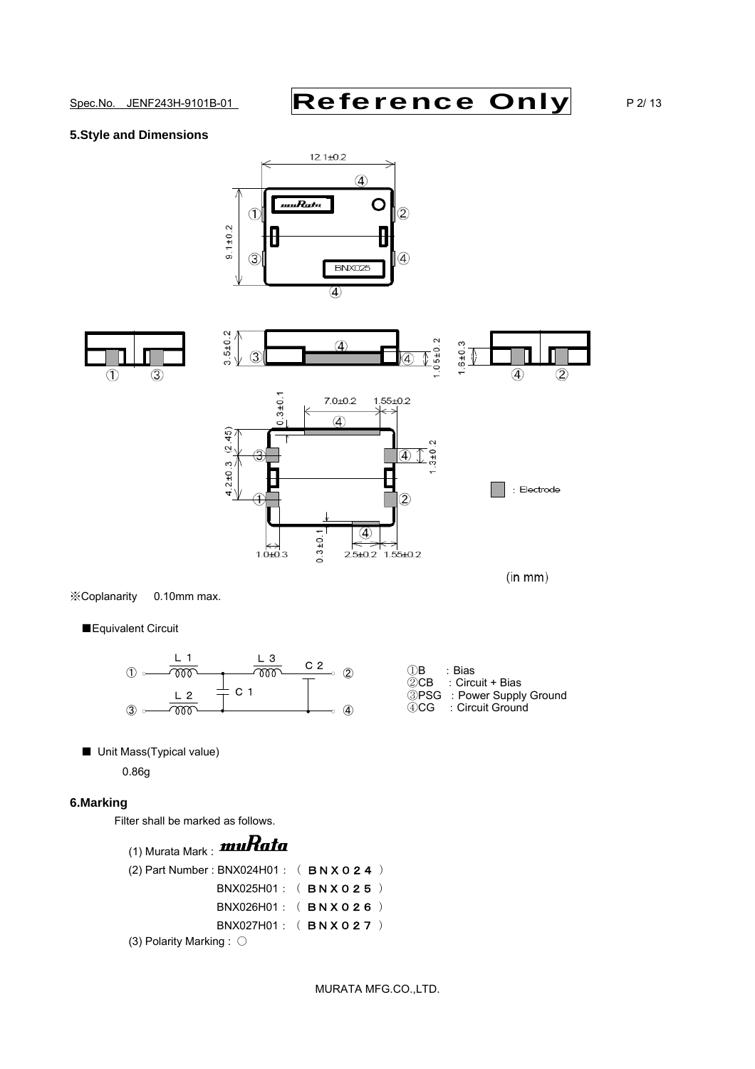$\circled{4}$ 

: Electrode

 $(in mm)$ 

 $(2)$ 

### **5.Style and Dimensions**





 $1.0 + 0.3$ 

※Coplanarity 0.10mm max.

■Equivalent Circuit



 $0.3 + 0.$ 

④

2.5±0.2 1.55±0.2

■ Unit Mass(Typical value)

0.86g

### **6.Marking**

Filter shall be marked as follows.

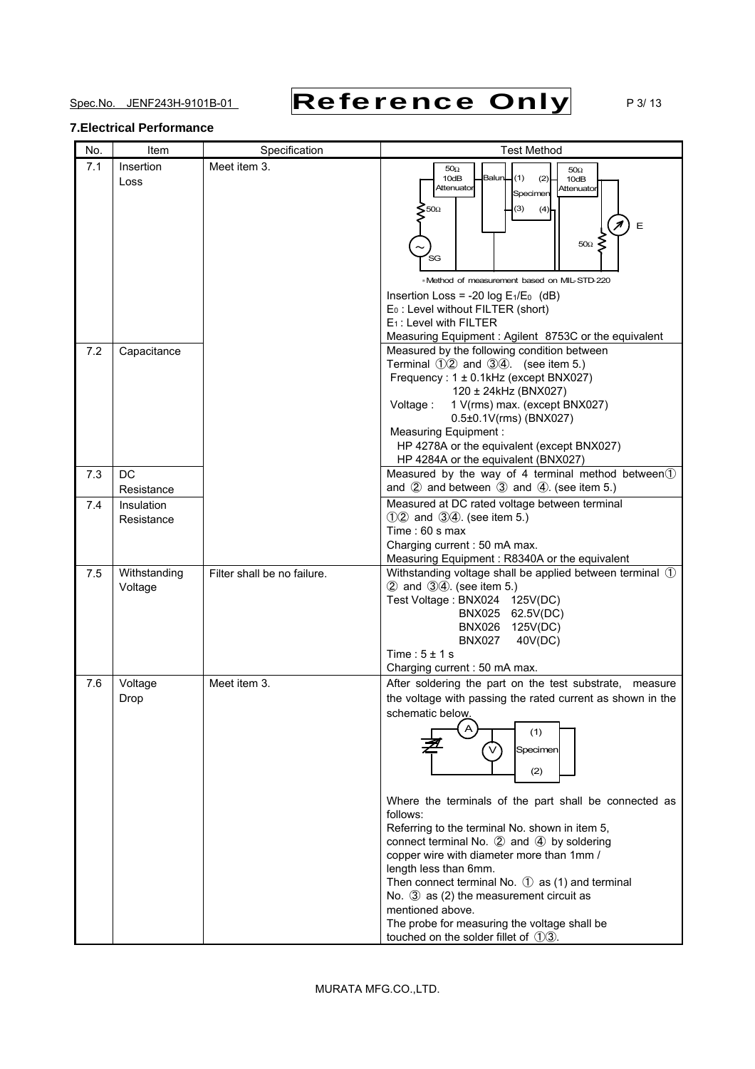Spec.No. JENF243H-9101B-01 **Reference Only** P3/13

### **7.Electrical Performance**

| No. | Item                     | Specification               | <b>Test Method</b>                                                                                                                                                                                                                                                                                                                                                                                                                                                                                                                                                                                                                             |
|-----|--------------------------|-----------------------------|------------------------------------------------------------------------------------------------------------------------------------------------------------------------------------------------------------------------------------------------------------------------------------------------------------------------------------------------------------------------------------------------------------------------------------------------------------------------------------------------------------------------------------------------------------------------------------------------------------------------------------------------|
| 7.1 | Insertion<br>Loss        | Meet item 3.                | $50\Omega$<br>$50\Omega$<br>10dB<br><b>Balun</b><br>(1)<br>(2)<br>10dB<br>Attenuator<br>Attenuator<br>Specimen<br>500<br>(3)<br>(4)<br>E<br>$50\Omega \leq$<br>SG<br>*Method of measurement based on MIL-STD-220<br>Insertion Loss = -20 $log E_1/E_0$ (dB)<br>$E_0$ : Level without FILTER (short)<br>$E_1$ : Level with FILTER<br>Measuring Equipment: Agilent 8753C or the equivalent                                                                                                                                                                                                                                                       |
| 7.2 | Capacitance              |                             | Measured by the following condition between<br>Terminal 12 and 34. (see item 5.)<br>Frequency: 1 ± 0.1kHz (except BNX027)<br>120 ± 24kHz (BNX027)<br>1 V(rms) max. (except BNX027)<br>Voltage:<br>0.5±0.1V(rms) (BNX027)<br>Measuring Equipment :<br>HP 4278A or the equivalent (except BNX027)<br>HP 4284A or the equivalent (BNX027)                                                                                                                                                                                                                                                                                                         |
| 7.3 | DC<br>Resistance         |                             | Measured by the way of 4 terminal method between 1<br>and $(2)$ and between $(3)$ and $(4)$ . (see item 5.)                                                                                                                                                                                                                                                                                                                                                                                                                                                                                                                                    |
| 7.4 | Insulation<br>Resistance |                             | Measured at DC rated voltage between terminal<br>12 and 34. (see item 5.)<br>Time: $60$ s max<br>Charging current: 50 mA max.<br>Measuring Equipment: R8340A or the equivalent                                                                                                                                                                                                                                                                                                                                                                                                                                                                 |
| 7.5 | Withstanding<br>Voltage  | Filter shall be no failure. | Withstanding voltage shall be applied between terminal 1<br>2 and 34. (see item 5.)<br>Test Voltage: BNX024 125V(DC)<br>BNX025 62.5V(DC)<br>BNX026 125V(DC)<br><b>BNX027</b><br>40V(DC)<br>Time: $5 \pm 1$ s<br>Charging current: 50 mA max.                                                                                                                                                                                                                                                                                                                                                                                                   |
| 7.6 | Voltage<br>Drop          | Meet item 3.                | After soldering the part on the test substrate, measure<br>the voltage with passing the rated current as shown in the<br>schematic below.<br>(1)<br>Specimen<br>(2)<br>Where the terminals of the part shall be connected as<br>follows:<br>Referring to the terminal No. shown in item 5,<br>connect terminal No. 2 and 4 by soldering<br>copper wire with diameter more than 1mm /<br>length less than 6mm.<br>Then connect terminal No. $\circled{1}$ as (1) and terminal<br>No. $\circled{3}$ as (2) the measurement circuit as<br>mentioned above.<br>The probe for measuring the voltage shall be<br>touched on the solder fillet of 13. |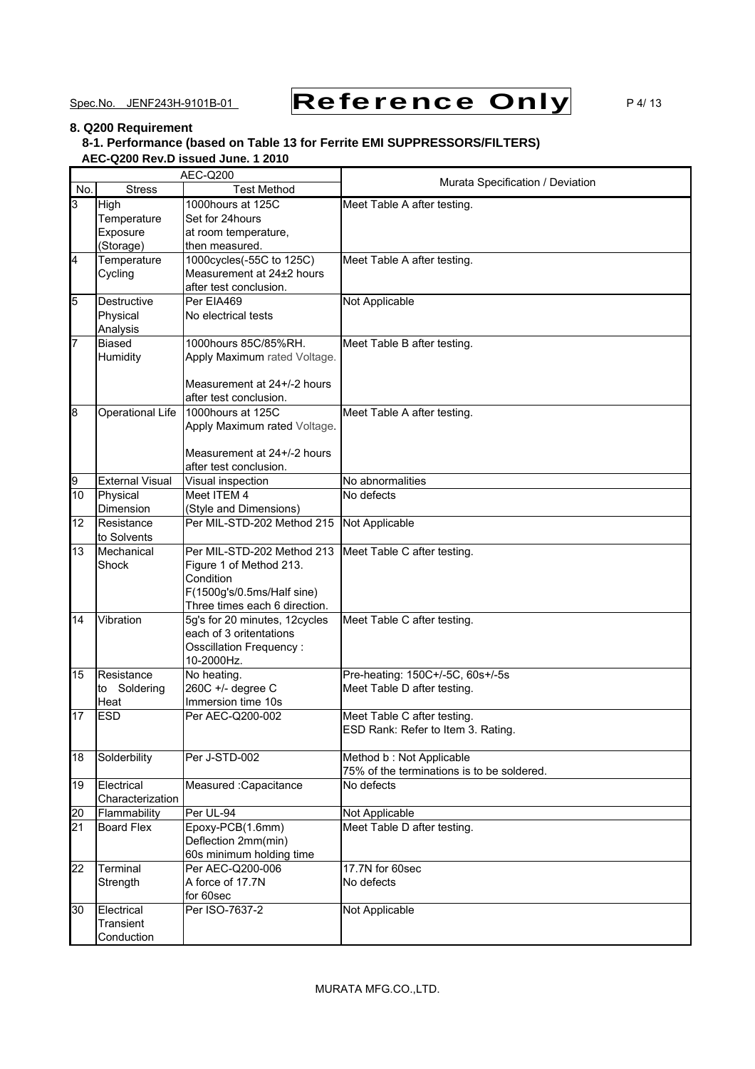# Spec.No. JENF243H-9101B-01 **Reference Only** P4/13

### **8. Q200 Requirement**

### **8-1. Performance (based on Table 13 for Ferrite EMI SUPPRESSORS/FILTERS) AEC-Q200 Rev.D issued June. 1 2010**

|                         | AEC-Q200                         |                                      | Murata Specification / Deviation              |  |  |
|-------------------------|----------------------------------|--------------------------------------|-----------------------------------------------|--|--|
| No.                     | <b>Stress</b>                    | <b>Test Method</b>                   |                                               |  |  |
| 3                       | High                             | 1000hours at 125C                    | Meet Table A after testing.                   |  |  |
|                         | Temperature                      | Set for 24hours                      |                                               |  |  |
|                         | Exposure                         | at room temperature,                 |                                               |  |  |
|                         | (Storage)                        | then measured.                       |                                               |  |  |
| $\overline{\mathbf{4}}$ | Temperature                      | 1000cycles(-55C to 125C)             | Meet Table A after testing.                   |  |  |
|                         | Cycling                          | Measurement at 24±2 hours            |                                               |  |  |
|                         |                                  | after test conclusion.               |                                               |  |  |
| 5                       | Destructive                      | Per EIA469                           | Not Applicable                                |  |  |
|                         | Physical                         | No electrical tests                  |                                               |  |  |
| 7                       | Analysis<br><b>Biased</b>        | 1000hours 85C/85%RH.                 | Meet Table B after testing.                   |  |  |
|                         | Humidity                         | Apply Maximum rated Voltage.         |                                               |  |  |
|                         |                                  |                                      |                                               |  |  |
|                         |                                  | Measurement at 24+/-2 hours          |                                               |  |  |
|                         |                                  | after test conclusion.               |                                               |  |  |
| 8                       | Operational Life                 | 1000hours at 125C                    | Meet Table A after testing.                   |  |  |
|                         |                                  | Apply Maximum rated Voltage.         |                                               |  |  |
|                         |                                  |                                      |                                               |  |  |
|                         |                                  | Measurement at 24+/-2 hours          |                                               |  |  |
|                         |                                  | after test conclusion.               |                                               |  |  |
| 9                       | <b>External Visual</b>           | Visual inspection                    | No abnormalities                              |  |  |
| 10                      | Physical                         | Meet ITEM 4                          | No defects                                    |  |  |
|                         | Dimension                        | (Style and Dimensions)               |                                               |  |  |
| 12                      | Resistance                       | Per MIL-STD-202 Method 215           | Not Applicable                                |  |  |
|                         | to Solvents                      |                                      |                                               |  |  |
| 13                      | Mechanical                       | Per MIL-STD-202 Method 213           | Meet Table C after testing.                   |  |  |
|                         | Shock                            | Figure 1 of Method 213.<br>Condition |                                               |  |  |
|                         |                                  | F(1500g's/0.5ms/Half sine)           |                                               |  |  |
|                         |                                  | Three times each 6 direction.        |                                               |  |  |
| 14                      | Vibration                        | 5g's for 20 minutes, 12cycles        | Meet Table C after testing.                   |  |  |
|                         |                                  | each of 3 oritentations              |                                               |  |  |
|                         |                                  | Osscillation Frequency:              |                                               |  |  |
|                         |                                  | 10-2000Hz.                           |                                               |  |  |
| 15                      | Resistance                       | No heating.                          | Pre-heating: 150C+/-5C, 60s+/-5s              |  |  |
|                         | to Soldering                     | 260C +/- degree C                    | Meet Table D after testing.                   |  |  |
|                         | Heat                             | Immersion time 10s                   |                                               |  |  |
| 17                      | <b>ESD</b>                       | Per AEC-Q200-002                     | Meet Table C after testing.                   |  |  |
|                         |                                  |                                      | ESD Rank: Refer to Item 3. Rating.            |  |  |
|                         |                                  |                                      |                                               |  |  |
| 18                      | Solderbility                     | Per J-STD-002                        | Method b: Not Applicable                      |  |  |
|                         |                                  |                                      | 75% of the terminations is to be soldered.    |  |  |
| 19                      | Electrical                       | Measured : Capacitance               | No defects                                    |  |  |
|                         | Characterization<br>Flammability | Per UL-94                            |                                               |  |  |
| 20<br>21                | <b>Board Flex</b>                | Epoxy-PCB(1.6mm)                     | Not Applicable<br>Meet Table D after testing. |  |  |
|                         |                                  | Deflection 2mm(min)                  |                                               |  |  |
|                         |                                  | 60s minimum holding time             |                                               |  |  |
| 22                      | Terminal                         | Per AEC-Q200-006                     | 17.7N for 60sec                               |  |  |
|                         | Strength                         | A force of 17.7N                     | No defects                                    |  |  |
|                         |                                  | for 60sec                            |                                               |  |  |
| 30                      | Electrical                       | Per ISO-7637-2                       | Not Applicable                                |  |  |
|                         | Transient                        |                                      |                                               |  |  |
|                         | Conduction                       |                                      |                                               |  |  |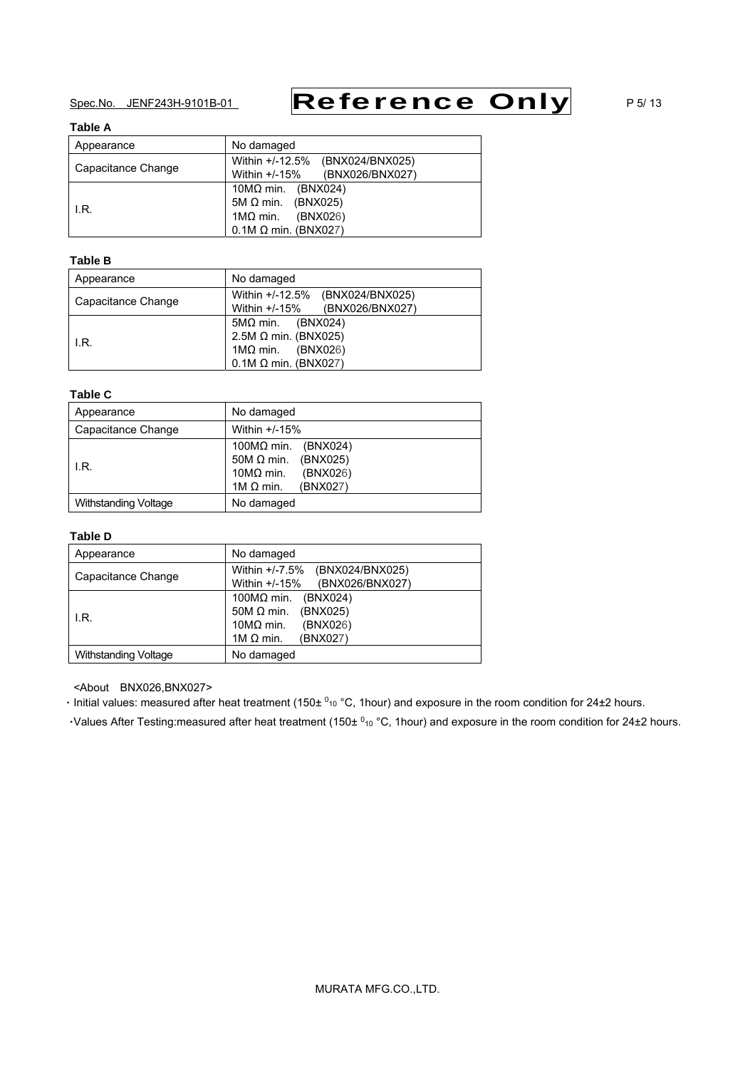# Spec.No. JENF243H-9101B-01 **Reference Only** P5/13

### **Table A**

| Appearance         | No damaged                         |
|--------------------|------------------------------------|
|                    | Within +/-12.5%<br>(BNX024/BNX025) |
| Capacitance Change | Within +/-15%<br>(BNX026/BNX027)   |
|                    | 10M $\Omega$ min. (BNX024)         |
| I.R.               | 5M $\Omega$ min. (BNX025)          |
|                    | $1MΩ$ min. (BNX026)                |
|                    | $0.1M \Omega$ min. (BNX027)        |

### **Table B**

| Appearance         | No damaged                                                                                                                |
|--------------------|---------------------------------------------------------------------------------------------------------------------------|
| Capacitance Change | Within +/-12.5%<br>(BNX024/BNX025)<br>Within +/-15%<br>(BNX026/BNX027)                                                    |
| I.R.               | $5M\Omega$ min. (BNX024)<br>2.5M $\Omega$ min. (BNX025)<br>$1\text{M}\Omega$ min. (BNX026)<br>$0.1M \Omega$ min. (BNX027) |

### **Table C**

| Appearance           | No damaged                                                                                                           |
|----------------------|----------------------------------------------------------------------------------------------------------------------|
| Capacitance Change   | Within $+/-15%$                                                                                                      |
| I.R.                 | 100 $M\Omega$ min. (BNX024)<br>50M $\Omega$ min. (BNX025)<br>$10MΩ$ min.<br>(BNX026)<br>1M $\Omega$ min.<br>(BNX027) |
| Withstanding Voltage | No damaged                                                                                                           |

### **Table D**

| Appearance                  | No damaged                                                                                                              |
|-----------------------------|-------------------------------------------------------------------------------------------------------------------------|
| Capacitance Change          | Within $+/-7.5%$<br>(BNX024/BNX025)<br>Within $+/-15%$<br>(BNX026/BNX027)                                               |
| I.R.                        | 100MΩ min.<br>(BNX024)<br>$50M \Omega$ min.<br>(BNX025)<br>$10M\Omega$ min.<br>(BNX026)<br>(BNX027)<br>1M $\Omega$ min. |
| <b>Withstanding Voltage</b> | No damaged                                                                                                              |

<About BNX026,BNX027>

**·** Initial values: measured after heat treatment (150± <sup>0</sup><sup>10</sup> °C, 1hour) and exposure in the room condition for 24±2 hours.

·Values After Testing:measured after heat treatment (150± <sup>0</sup><sub>10</sub> °C, 1hour) and exposure in the room condition for 24±2 hours.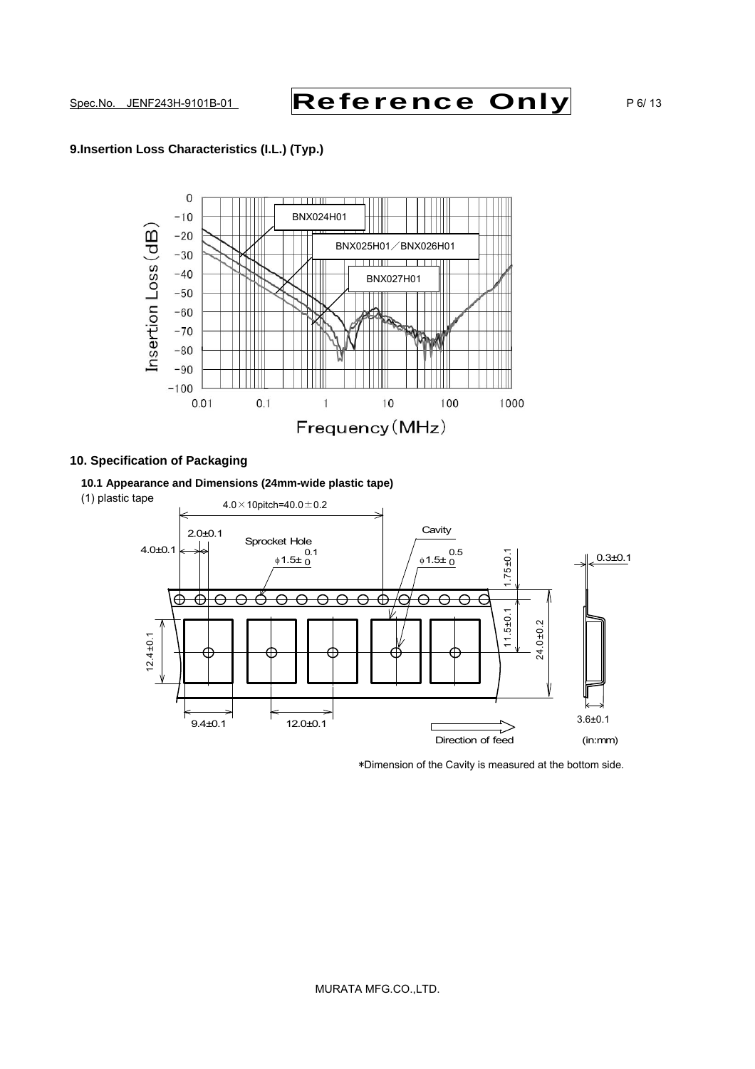# Spec.No. JENF243H-9101B-01 **Reference Only** P6/13

### **9.Insertion Loss Characteristics (I.L.) (Typ.)**



### **10. Specification of Packaging**

**10.1 Appearance and Dimensions (24mm-wide plastic tape)** 



\*Dimension of the Cavity is measured at the bottom side.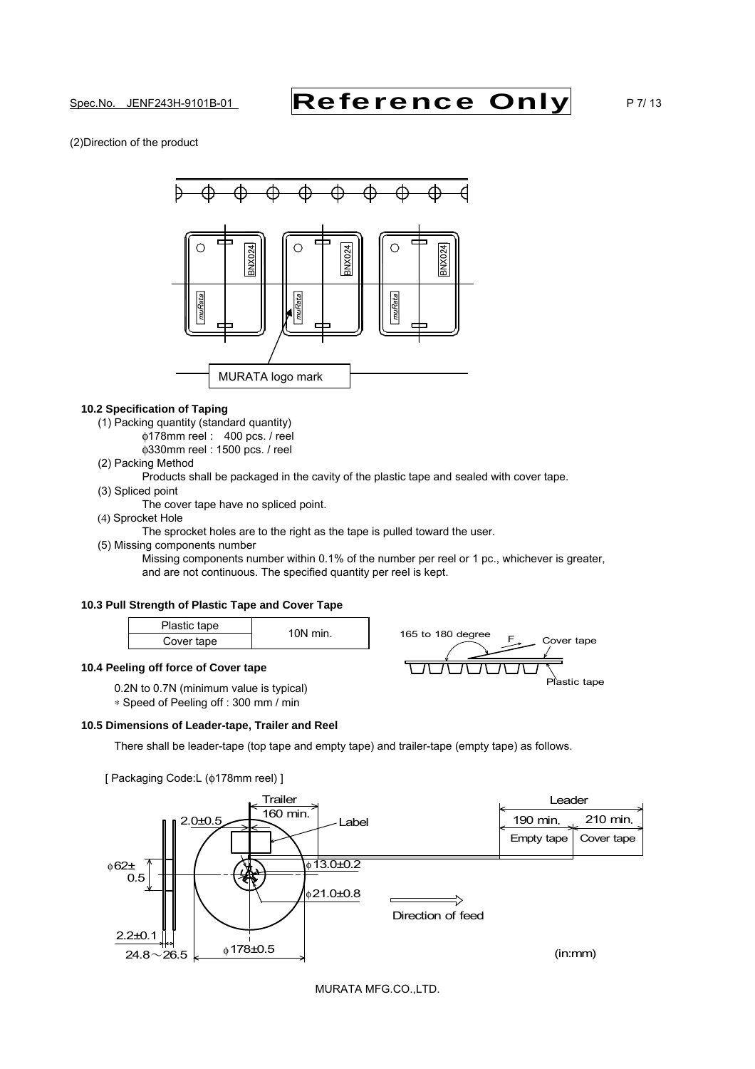# Spec.No. JENF243H-9101B-01 **Reference Only** P7/13

(2)Direction of the product



### **10.2 Specification of Taping**

- (1) Packing quantity (standard quantity)
	- φ178mm reel : 400 pcs. / reel
		- φ330mm reel : 1500 pcs. / reel

### (2) Packing Method

- Products shall be packaged in the cavity of the plastic tape and sealed with cover tape.
- (3) Spliced point
	- The cover tape have no spliced point.
- (4) Sprocket Hole

The sprocket holes are to the right as the tape is pulled toward the user.

- (5) Missing components number
	- Missing components number within 0.1% of the number per reel or 1 pc., whichever is greater, and are not continuous. The specified quantity per reel is kept.

165 to 180 degree  $F_{\gamma}$  Cover tape

Plastic tape

### **10.3 Pull Strength of Plastic Tape and Cover Tape**

| Plastic tape | $10N$ min. |  |
|--------------|------------|--|
| Cover tape   |            |  |

### **10.4 Peeling off force of Cover tape**

 0.2N to 0.7N (minimum value is typical) ∗ Speed of Peeling off : 300 mm / min



There shall be leader-tape (top tape and empty tape) and trailer-tape (empty tape) as follows.



MURATA MFG.CO.,LTD.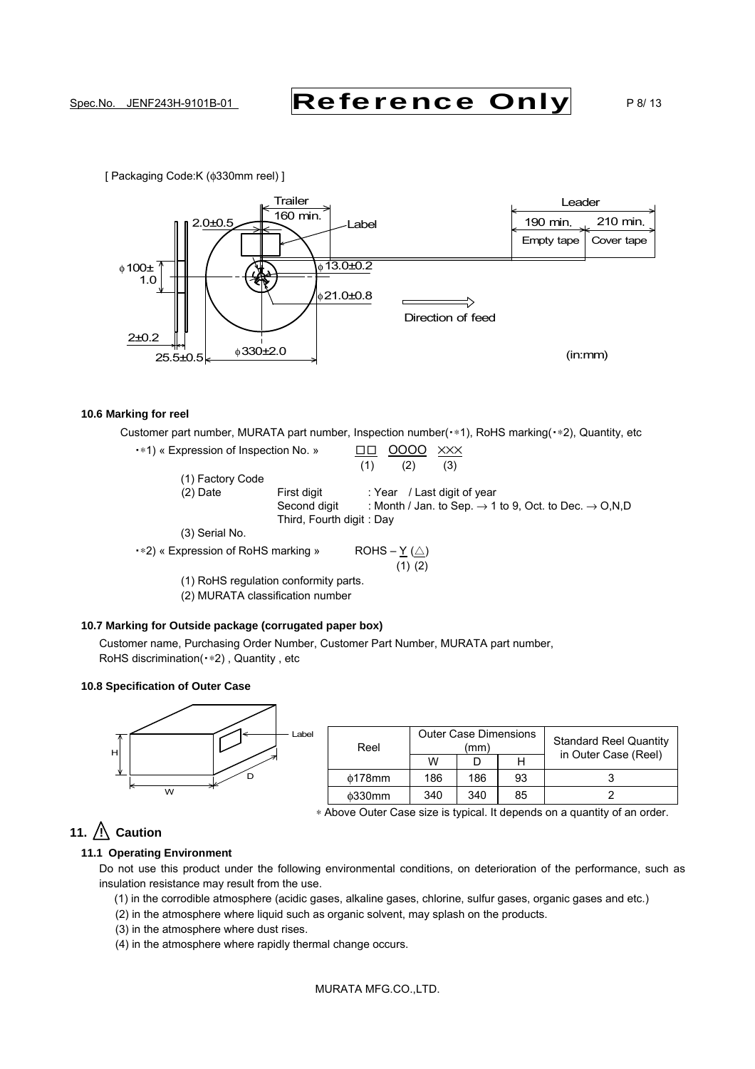# Spec.No. JENF243H-9101B-01 **Reference Only** P8/13

[ Packaging Code:K (φ330mm reel) ]



### **10.6 Marking for reel**

Customer part number, MURATA part number, Inspection number(•\*1), RoHS marking(•\*2), Quantity, etc

• \*1) « Expression of Inspection No. » □□ 0000 XXX  $(1)$   $(2)$   $(3)$ (1) Factory Code (2) Date First digit : Year / Last digit of year Second digit : Month / Jan. to Sep.  $\rightarrow$  1 to 9, Oct. to Dec.  $\rightarrow$  O, N, D Third, Fourth digit : Day (3) Serial No. • \*2) « Expression of RoHS marking » ROHS –  $Y(\triangle)$ (1) (2)

(1) RoHS regulation conformity parts.

(2) MURATA classification number

### **10.7 Marking for Outside package (corrugated paper box)**

Customer name, Purchasing Order Number, Customer Part Number, MURATA part number, RoHS discrimination(∗2) , Quantity , etc

### **10.8 Specification of Outer Case**



| Reel           |     | <b>Outer Case Dimensions</b><br>(mm |    | <b>Standard Reel Quantity</b><br>in Outer Case (Reel) |
|----------------|-----|-------------------------------------|----|-------------------------------------------------------|
|                | w   |                                     |    |                                                       |
| $\phi$ 178mm   | 186 | 186                                 | 93 |                                                       |
| $\delta$ 330mm | 340 | 340                                 | 85 |                                                       |

∗ Above Outer Case size is typical. It depends on a quantity of an order.

## 11.  $\bigwedge$  Caution

### **11.1 Operating Environment**

Do not use this product under the following environmental conditions, on deterioration of the performance, such as insulation resistance may result from the use.

(1) in the corrodible atmosphere (acidic gases, alkaline gases, chlorine, sulfur gases, organic gases and etc.)

- (2) in the atmosphere where liquid such as organic solvent, may splash on the products.
- (3) in the atmosphere where dust rises.
- (4) in the atmosphere where rapidly thermal change occurs.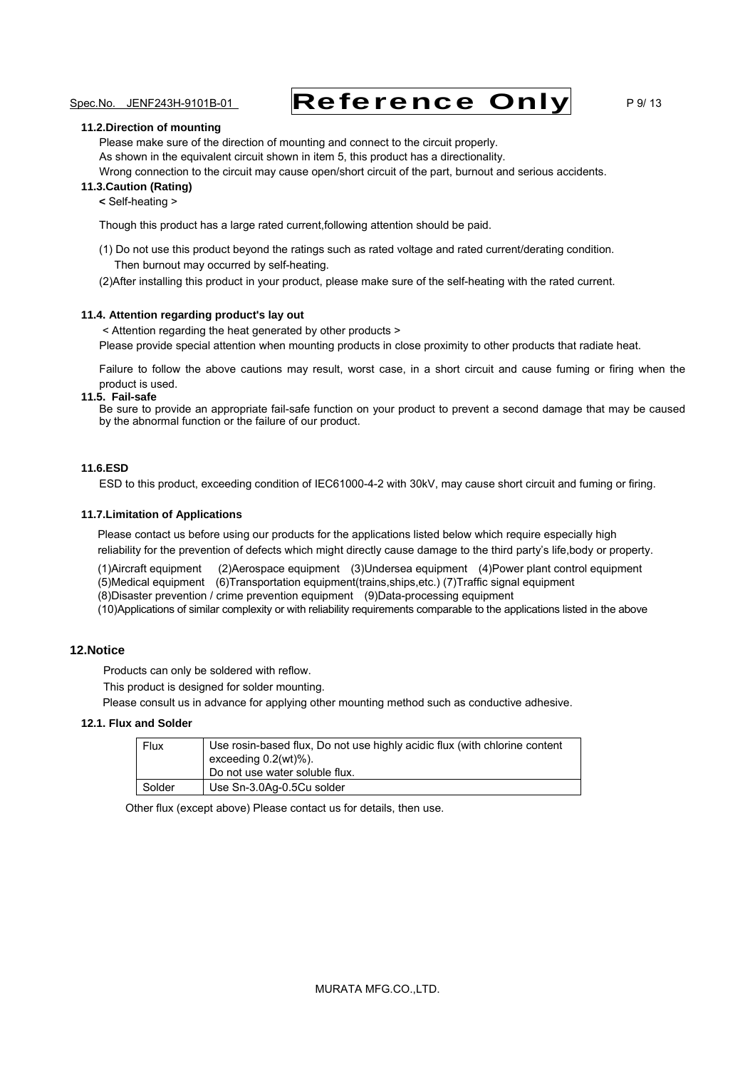# Spec.No. JENF243H-9101B-01 **Reference Only** P9/13

#### **11.2.Direction of mounting**

Please make sure of the direction of mounting and connect to the circuit properly. As shown in the equivalent circuit shown in item 5, this product has a directionality. Wrong connection to the circuit may cause open/short circuit of the part, burnout and serious accidents.

### **11.3.Caution (Rating)**

#### **<** Self-heating >

Though this product has a large rated current,following attention should be paid.

- (1) Do not use this product beyond the ratings such as rated voltage and rated current/derating condition. Then burnout may occurred by self-heating.
- (2)After installing this product in your product, please make sure of the self-heating with the rated current.

### **11.4. Attention regarding product's lay out**

< Attention regarding the heat generated by other products > Please provide special attention when mounting products in close proximity to other products that radiate heat.

Failure to follow the above cautions may result, worst case, in a short circuit and cause fuming or firing when the product is used.

### **11.5. Fail-safe**

Be sure to provide an appropriate fail-safe function on your product to prevent a second damage that may be caused by the abnormal function or the failure of our product.

### **11.6.ESD**

ESD to this product, exceeding condition of IEC61000-4-2 with 30kV, may cause short circuit and fuming or firing.

#### **11.7.Limitation of Applications**

 Please contact us before using our products for the applications listed below which require especially high reliability for the prevention of defects which might directly cause damage to the third party's life,body or property.

 (1)Aircraft equipment (2)Aerospace equipment (3)Undersea equipment (4)Power plant control equipment (5)Medical equipment (6)Transportation equipment(trains,ships,etc.) (7)Traffic signal equipment (8)Disaster prevention / crime prevention equipment (9)Data-processing equipment

(10)Applications of similar complexity or with reliability requirements comparable to the applications listed in the above

### **12.Notice**

Products can only be soldered with reflow.

This product is designed for solder mounting.

Please consult us in advance for applying other mounting method such as conductive adhesive.

### **12.1. Flux and Solder**

| Flux   | Use rosin-based flux, Do not use highly acidic flux (with chlorine content<br>exceeding 0.2(wt)%).<br>Do not use water soluble flux. |
|--------|--------------------------------------------------------------------------------------------------------------------------------------|
| Solder | Use Sn-3.0Ag-0.5Cu solder                                                                                                            |

Other flux (except above) Please contact us for details, then use.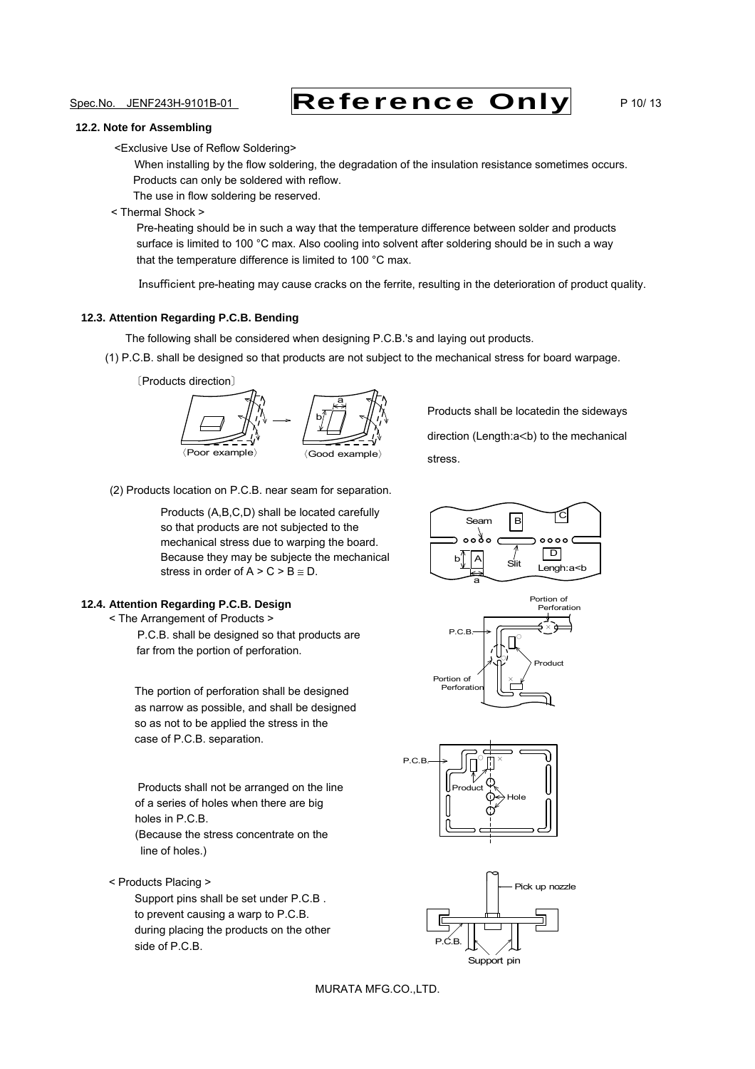# Spec.No. JENF243H-9101B-01 **Reference Only** P 10/ 13

#### **12.2. Note for Assembling**

<Exclusive Use of Reflow Soldering>

When installing by the flow soldering, the degradation of the insulation resistance sometimes occurs. Products can only be soldered with reflow.

The use in flow soldering be reserved.

### < Thermal Shock >

 Pre-heating should be in such a way that the temperature difference between solder and products surface is limited to 100 °C max. Also cooling into solvent after soldering should be in such a way that the temperature difference is limited to 100 °C max.

Insufficient pre-heating may cause cracks on the ferrite, resulting in the deterioration of product quality.

### **12.3. Attention Regarding P.C.B. Bending**

The following shall be considered when designing P.C.B.'s and laying out products.

(1) P.C.B. shall be designed so that products are not subject to the mechanical stress for board warpage.





Products shall be locatedin the sideways direction (Length:a<br/>b) to the mechanical stress.

(2) Products location on P.C.B. near seam for separation.

Products (A,B,C,D) shall be located carefully so that products are not subjected to the mechanical stress due to warping the board. Because they may be subjecte the mechanical stress in order of  $A > C > B \cong D$ .

### **12.4. Attention Regarding P.C.B. Design**

< The Arrangement of Products >

P.C.B. shall be designed so that products are far from the portion of perforation.

The portion of perforation shall be designed as narrow as possible, and shall be designed so as not to be applied the stress in the case of P.C.B. separation.

Products shall not be arranged on the line of a series of holes when there are big holes in P.C.B.

(Because the stress concentrate on the line of holes.)

< Products Placing >

Support pins shall be set under P.C.B . to prevent causing a warp to P.C.B. during placing the products on the other side of P.C.B.









MURATA MFG.CO.,LTD.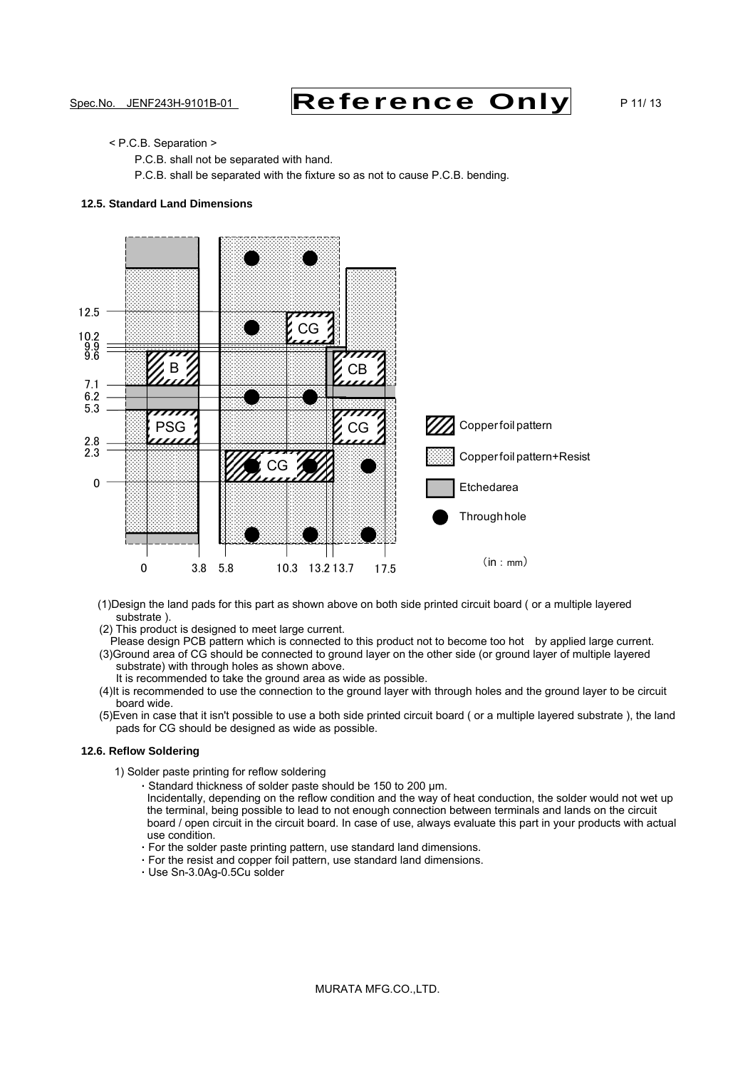# Spec.No. JENF243H-9101B-01 **Reference Only** P 11/ 13

### < P.C.B. Separation >

P.C.B. shall not be separated with hand.

P.C.B. shall be separated with the fixture so as not to cause P.C.B. bending.

### **12.5. Standard Land Dimensions**



- (1)Design the land pads for this part as shown above on both side printed circuit board ( or a multiple layered substrate ).
- (2) This product is designed to meet large current.
- Please design PCB pattern which is connected to this product not to become too hot by applied large current. (3)Ground area of CG should be connected to ground layer on the other side (or ground layer of multiple layered substrate) with through holes as shown above.
	- It is recommended to take the ground area as wide as possible.
- (4)It is recommended to use the connection to the ground layer with through holes and the ground layer to be circuit board wide.
- (5)Even in case that it isn't possible to use a both side printed circuit board ( or a multiple layered substrate ), the land pads for CG should be designed as wide as possible.

#### **12.6. Reflow Soldering**

- 1) Solder paste printing for reflow soldering
	- **·** Standard thickness of solder paste should be 150 to 200 µm.
	- Incidentally, depending on the reflow condition and the way of heat conduction, the solder would not wet up the terminal, being possible to lead to not enough connection between terminals and lands on the circuit board / open circuit in the circuit board. In case of use, always evaluate this part in your products with actual use condition.
	- **·** For the solder paste printing pattern, use standard land dimensions.
	- **·** For the resist and copper foil pattern, use standard land dimensions.
	- **·** Use Sn-3.0Ag-0.5Cu solder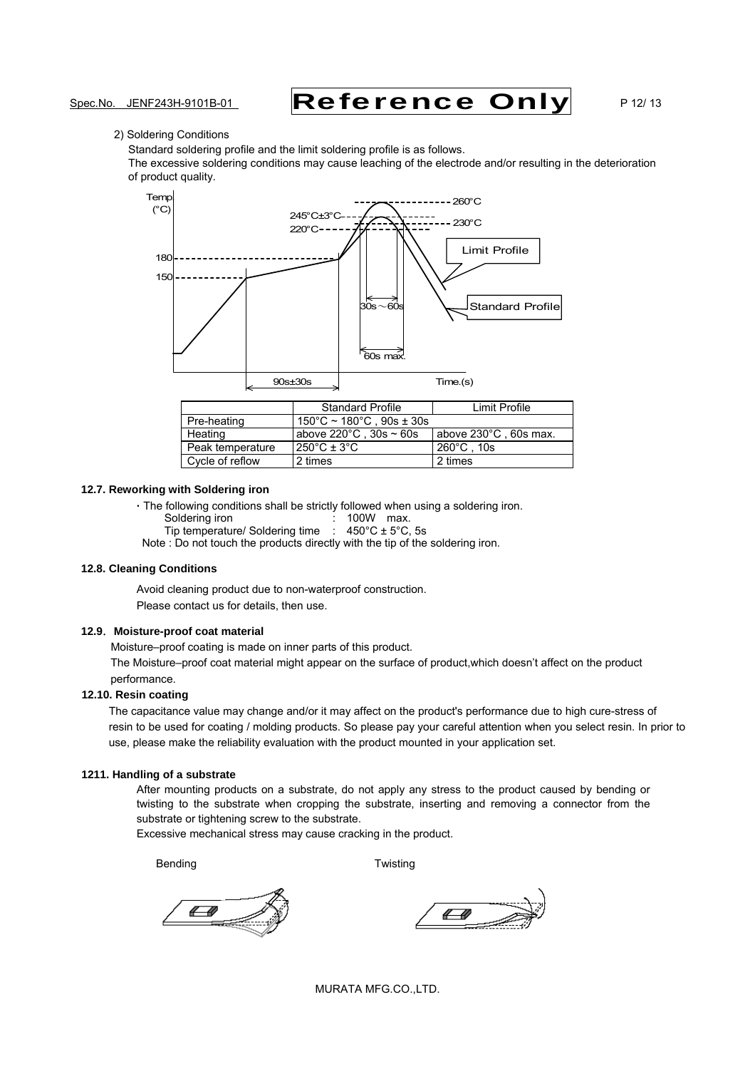# Spec.No. JENF243H-9101B-01 **Reference Only** P 12/ 13

### 2) Soldering Conditions

Standard soldering profile and the limit soldering profile is as follows.

The excessive soldering conditions may cause leaching of the electrode and/or resulting in the deterioration of product quality.



|                  | <b>Standard Profile</b>                        | Limit Profile         |
|------------------|------------------------------------------------|-----------------------|
| Pre-heating      | $150^{\circ}$ C ~ 180 $^{\circ}$ C . 90s ± 30s |                       |
| Heating          | above $220^{\circ}$ C. 30s ~ 60s               | above 230°C, 60s max. |
| Peak temperature | $250^{\circ}$ C ± 3 $^{\circ}$ C               | $260^{\circ}$ C . 10s |
| Cycle of reflow  | 2 times                                        | 2 times               |

### **12.7. Reworking with Soldering iron**

**·** The following conditions shall be strictly followed when using a soldering iron.

Soldering iron : 100W max.

Tip temperature/ Soldering time  $\therefore$  450°C  $\pm$  5°C, 5s

Note : Do not touch the products directly with the tip of the soldering iron.

#### **12.8. Cleaning Conditions**

Avoid cleaning product due to non-waterproof construction. Please contact us for details, then use.

### **12.9**.**Moisture-proof coat material**

Moisture–proof coating is made on inner parts of this product.

The Moisture–proof coat material might appear on the surface of product,which doesn't affect on the product performance.

### **12.10. Resin coating**

The capacitance value may change and/or it may affect on the product's performance due to high cure-stress of resin to be used for coating / molding products. So please pay your careful attention when you select resin. In prior to use, please make the reliability evaluation with the product mounted in your application set.

### **1211. Handling of a substrate**

After mounting products on a substrate, do not apply any stress to the product caused by bending or twisting to the substrate when cropping the substrate, inserting and removing a connector from the substrate or tightening screw to the substrate.

Excessive mechanical stress may cause cracking in the product.

Bending **Bending Bending** 

4-40

4 40

MURATA MFG.CO.,LTD.